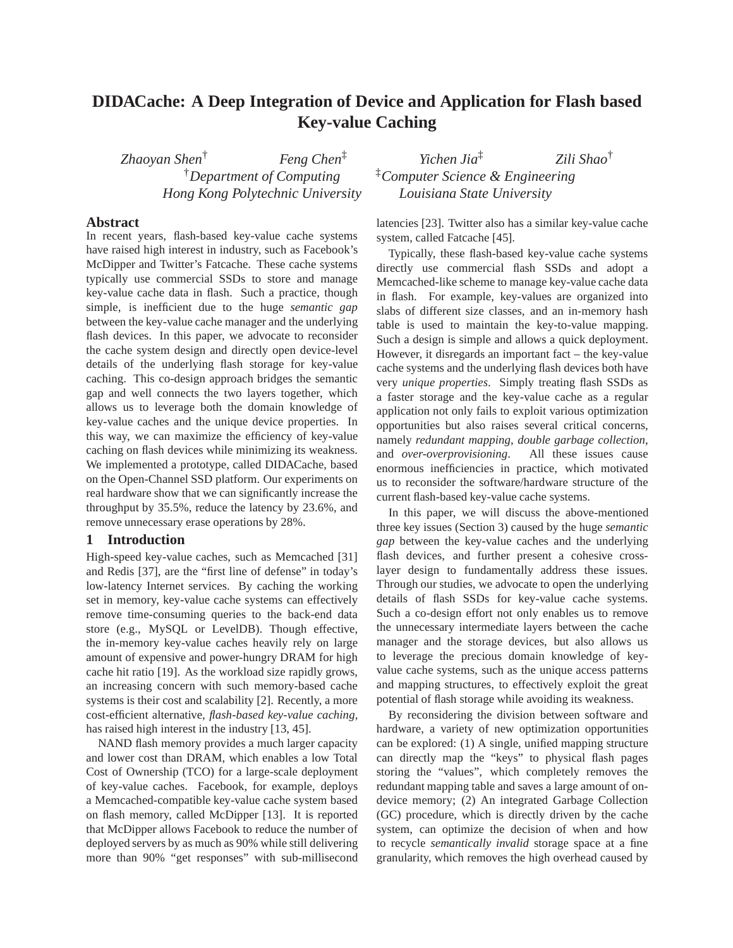# **DIDACache: A Deep Integration of Device and Application for Flash based Key-value Caching**

*Zhaoyan Shen*† *Feng Chen*‡ *Yichen Jia*‡ *Zili Shao*† *Hong Kong Polytechnic University Louisiana State University*

## **Abstract**

In recent years, flash-based key-value cache systems have raised high interest in industry, such as Facebook's McDipper and Twitter's Fatcache. These cache systems typically use commercial SSDs to store and manage key-value cache data in flash. Such a practice, though simple, is inefficient due to the huge *semantic gap* between the key-value cache manager and the underlying flash devices. In this paper, we advocate to reconsider the cache system design and directly open device-level details of the underlying flash storage for key-value caching. This co-design approach bridges the semantic gap and well connects the two layers together, which allows us to leverage both the domain knowledge of key-value caches and the unique device properties. In this way, we can maximize the efficiency of key-value caching on flash devices while minimizing its weakness. We implemented a prototype, called DIDACache, based on the Open-Channel SSD platform. Our experiments on real hardware show that we can significantly increase the throughput by 35.5%, reduce the latency by 23.6%, and remove unnecessary erase operations by 28%.

## **1 Introduction**

High-speed key-value caches, such as Memcached [31] and Redis [37], are the "first line of defense" in today's low-latency Internet services. By caching the working set in memory, key-value cache systems can effectively remove time-consuming queries to the back-end data store (e.g., MySQL or LevelDB). Though effective, the in-memory key-value caches heavily rely on large amount of expensive and power-hungry DRAM for high cache hit ratio [19]. As the workload size rapidly grows, an increasing concern with such memory-based cache systems is their cost and scalability [2]. Recently, a more cost-efficient alternative, *flash-based key-value caching*, has raised high interest in the industry [13, 45].

NAND flash memory provides a much larger capacity and lower cost than DRAM, which enables a low Total Cost of Ownership (TCO) for a large-scale deployment of key-value caches. Facebook, for example, deploys a Memcached-compatible key-value cache system based on flash memory, called McDipper [13]. It is reported that McDipper allows Facebook to reduce the number of deployed servers by as much as 90% while still delivering more than 90% "get responses" with sub-millisecond

†*Department of Computing* ‡*Computer Science & Engineering*

latencies [23]. Twitter also has a similar key-value cache system, called Fatcache [45].

Typically, these flash-based key-value cache systems directly use commercial flash SSDs and adopt a Memcached-like scheme to manage key-value cache data in flash. For example, key-values are organized into slabs of different size classes, and an in-memory hash table is used to maintain the key-to-value mapping. Such a design is simple and allows a quick deployment. However, it disregards an important fact – the key-value cache systems and the underlying flash devices both have very *unique properties*. Simply treating flash SSDs as a faster storage and the key-value cache as a regular application not only fails to exploit various optimization opportunities but also raises several critical concerns, namely *redundant mapping*, *double garbage collection*, and *over-overprovisioning*. All these issues cause enormous inefficiencies in practice, which motivated us to reconsider the software/hardware structure of the current flash-based key-value cache systems.

In this paper, we will discuss the above-mentioned three key issues (Section 3) caused by the huge *semantic gap* between the key-value caches and the underlying flash devices, and further present a cohesive crosslayer design to fundamentally address these issues. Through our studies, we advocate to open the underlying details of flash SSDs for key-value cache systems. Such a co-design effort not only enables us to remove the unnecessary intermediate layers between the cache manager and the storage devices, but also allows us to leverage the precious domain knowledge of keyvalue cache systems, such as the unique access patterns and mapping structures, to effectively exploit the great potential of flash storage while avoiding its weakness.

By reconsidering the division between software and hardware, a variety of new optimization opportunities can be explored: (1) A single, unified mapping structure can directly map the "keys" to physical flash pages storing the "values", which completely removes the redundant mapping table and saves a large amount of ondevice memory; (2) An integrated Garbage Collection (GC) procedure, which is directly driven by the cache system, can optimize the decision of when and how to recycle *semantically invalid* storage space at a fine granularity, which removes the high overhead caused by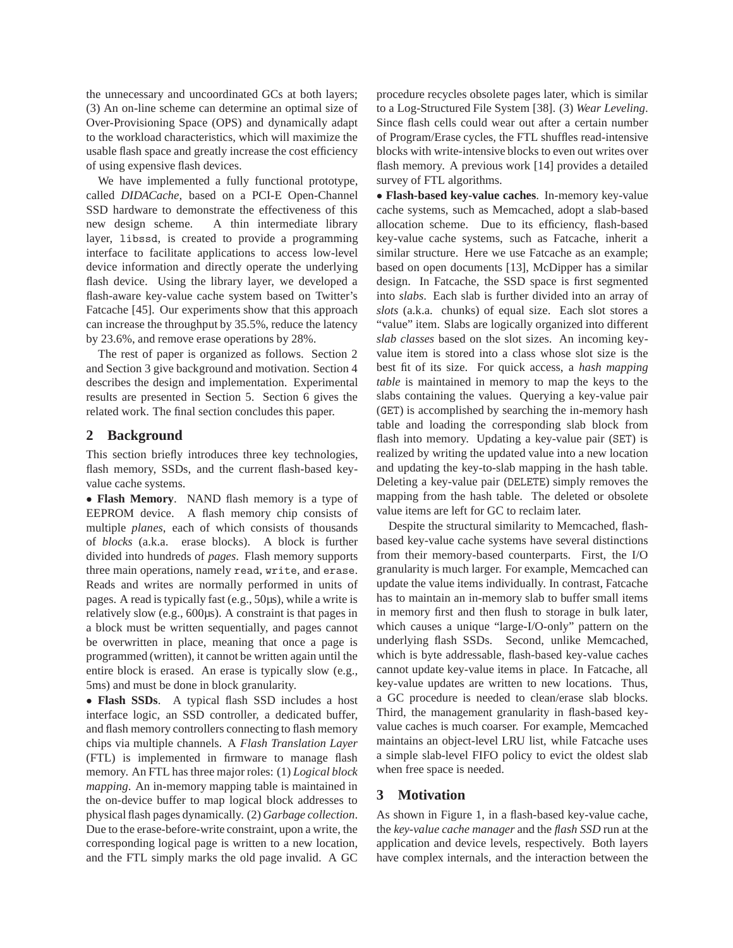the unnecessary and uncoordinated GCs at both layers; (3) An on-line scheme can determine an optimal size of Over-Provisioning Space (OPS) and dynamically adapt to the workload characteristics, which will maximize the usable flash space and greatly increase the cost efficiency of using expensive flash devices.

We have implemented a fully functional prototype, called *DIDACache*, based on a PCI-E Open-Channel SSD hardware to demonstrate the effectiveness of this new design scheme. A thin intermediate library layer, libssd, is created to provide a programming interface to facilitate applications to access low-level device information and directly operate the underlying flash device. Using the library layer, we developed a flash-aware key-value cache system based on Twitter's Fatcache [45]. Our experiments show that this approach can increase the throughput by 35.5%, reduce the latency by 23.6%, and remove erase operations by 28%.

The rest of paper is organized as follows. Section 2 and Section 3 give background and motivation. Section 4 describes the design and implementation. Experimental results are presented in Section 5. Section 6 gives the related work. The final section concludes this paper.

# **2 Background**

This section briefly introduces three key technologies, flash memory, SSDs, and the current flash-based keyvalue cache systems.

• **Flash Memory**. NAND flash memory is a type of EEPROM device. A flash memory chip consists of multiple *planes*, each of which consists of thousands of *blocks* (a.k.a. erase blocks). A block is further divided into hundreds of *pages*. Flash memory supports three main operations, namely read, write, and erase. Reads and writes are normally performed in units of pages. A read is typically fast (e.g., 50µs), while a write is relatively slow (e.g., 600µs). A constraint is that pages in a block must be written sequentially, and pages cannot be overwritten in place, meaning that once a page is programmed (written), it cannot be written again until the entire block is erased. An erase is typically slow (e.g., 5ms) and must be done in block granularity.

• **Flash SSDs**. A typical flash SSD includes a host interface logic, an SSD controller, a dedicated buffer, and flash memory controllers connecting to flash memory chips via multiple channels. A *Flash Translation Layer* (FTL) is implemented in firmware to manage flash memory. An FTL has three major roles: (1) *Logical block mapping*. An in-memory mapping table is maintained in the on-device buffer to map logical block addresses to physical flash pages dynamically. (2) *Garbage collection*. Due to the erase-before-write constraint, upon a write, the corresponding logical page is written to a new location, and the FTL simply marks the old page invalid. A GC procedure recycles obsolete pages later, which is similar to a Log-Structured File System [38]. (3) *Wear Leveling*. Since flash cells could wear out after a certain number of Program/Erase cycles, the FTL shuffles read-intensive blocks with write-intensive blocks to even out writes over flash memory. A previous work [14] provides a detailed survey of FTL algorithms.

• **Flash-based key-value caches**. In-memory key-value cache systems, such as Memcached, adopt a slab-based allocation scheme. Due to its efficiency, flash-based key-value cache systems, such as Fatcache, inherit a similar structure. Here we use Fatcache as an example; based on open documents [13], McDipper has a similar design. In Fatcache, the SSD space is first segmented into *slabs*. Each slab is further divided into an array of *slots* (a.k.a. chunks) of equal size. Each slot stores a "value" item. Slabs are logically organized into different *slab classes* based on the slot sizes. An incoming keyvalue item is stored into a class whose slot size is the best fit of its size. For quick access, a *hash mapping table* is maintained in memory to map the keys to the slabs containing the values. Querying a key-value pair (GET) is accomplished by searching the in-memory hash table and loading the corresponding slab block from flash into memory. Updating a key-value pair (SET) is realized by writing the updated value into a new location and updating the key-to-slab mapping in the hash table. Deleting a key-value pair (DELETE) simply removes the mapping from the hash table. The deleted or obsolete value items are left for GC to reclaim later.

Despite the structural similarity to Memcached, flashbased key-value cache systems have several distinctions from their memory-based counterparts. First, the I/O granularity is much larger. For example, Memcached can update the value items individually. In contrast, Fatcache has to maintain an in-memory slab to buffer small items in memory first and then flush to storage in bulk later, which causes a unique "large-I/O-only" pattern on the underlying flash SSDs. Second, unlike Memcached, which is byte addressable, flash-based key-value caches cannot update key-value items in place. In Fatcache, all key-value updates are written to new locations. Thus, a GC procedure is needed to clean/erase slab blocks. Third, the management granularity in flash-based keyvalue caches is much coarser. For example, Memcached maintains an object-level LRU list, while Fatcache uses a simple slab-level FIFO policy to evict the oldest slab when free space is needed.

# **3 Motivation**

As shown in Figure 1, in a flash-based key-value cache, the *key-value cache manager* and the *flash SSD* run at the application and device levels, respectively. Both layers have complex internals, and the interaction between the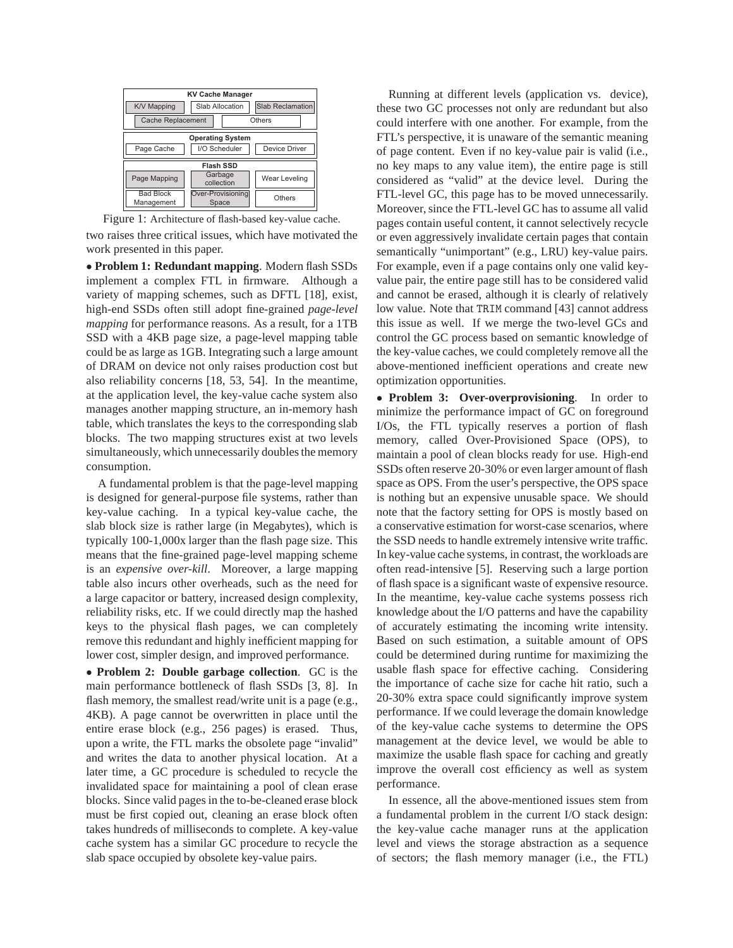

Figure 1: Architecture of flash-based key-value cache. two raises three critical issues, which have motivated the

work presented in this paper.

• **Problem 1: Redundant mapping**. Modern flash SSDs implement a complex FTL in firmware. Although a variety of mapping schemes, such as DFTL [18], exist, high-end SSDs often still adopt fine-grained *page-level mapping* for performance reasons. As a result, for a 1TB SSD with a 4KB page size, a page-level mapping table could be as large as 1GB. Integrating such a large amount of DRAM on device not only raises production cost but also reliability concerns [18, 53, 54]. In the meantime, at the application level, the key-value cache system also manages another mapping structure, an in-memory hash table, which translates the keys to the corresponding slab blocks. The two mapping structures exist at two levels simultaneously, which unnecessarily doubles the memory consumption.

A fundamental problem is that the page-level mapping is designed for general-purpose file systems, rather than key-value caching. In a typical key-value cache, the slab block size is rather large (in Megabytes), which is typically 100-1,000x larger than the flash page size. This means that the fine-grained page-level mapping scheme is an *expensive over-kill*. Moreover, a large mapping table also incurs other overheads, such as the need for a large capacitor or battery, increased design complexity, reliability risks, etc. If we could directly map the hashed keys to the physical flash pages, we can completely remove this redundant and highly inefficient mapping for lower cost, simpler design, and improved performance.

• **Problem 2: Double garbage collection**. GC is the main performance bottleneck of flash SSDs [3, 8]. In flash memory, the smallest read/write unit is a page (e.g., 4KB). A page cannot be overwritten in place until the entire erase block (e.g., 256 pages) is erased. Thus, upon a write, the FTL marks the obsolete page "invalid" and writes the data to another physical location. At a later time, a GC procedure is scheduled to recycle the invalidated space for maintaining a pool of clean erase blocks. Since valid pages in the to-be-cleaned erase block must be first copied out, cleaning an erase block often takes hundreds of milliseconds to complete. A key-value cache system has a similar GC procedure to recycle the slab space occupied by obsolete key-value pairs.

Running at different levels (application vs. device), these two GC processes not only are redundant but also could interfere with one another. For example, from the FTL's perspective, it is unaware of the semantic meaning of page content. Even if no key-value pair is valid (i.e., no key maps to any value item), the entire page is still considered as "valid" at the device level. During the FTL-level GC, this page has to be moved unnecessarily. Moreover, since the FTL-level GC has to assume all valid pages contain useful content, it cannot selectively recycle or even aggressively invalidate certain pages that contain semantically "unimportant" (e.g., LRU) key-value pairs. For example, even if a page contains only one valid keyvalue pair, the entire page still has to be considered valid and cannot be erased, although it is clearly of relatively low value. Note that TRIM command [43] cannot address this issue as well. If we merge the two-level GCs and control the GC process based on semantic knowledge of the key-value caches, we could completely remove all the above-mentioned inefficient operations and create new optimization opportunities.

• **Problem 3: Over-overprovisioning**. In order to minimize the performance impact of GC on foreground I/Os, the FTL typically reserves a portion of flash memory, called Over-Provisioned Space (OPS), to maintain a pool of clean blocks ready for use. High-end SSDs often reserve 20-30% or even larger amount of flash space as OPS. From the user's perspective, the OPS space is nothing but an expensive unusable space. We should note that the factory setting for OPS is mostly based on a conservative estimation for worst-case scenarios, where the SSD needs to handle extremely intensive write traffic. In key-value cache systems, in contrast, the workloads are often read-intensive [5]. Reserving such a large portion of flash space is a significant waste of expensive resource. In the meantime, key-value cache systems possess rich knowledge about the I/O patterns and have the capability of accurately estimating the incoming write intensity. Based on such estimation, a suitable amount of OPS could be determined during runtime for maximizing the usable flash space for effective caching. Considering the importance of cache size for cache hit ratio, such a 20-30% extra space could significantly improve system performance. If we could leverage the domain knowledge of the key-value cache systems to determine the OPS management at the device level, we would be able to maximize the usable flash space for caching and greatly improve the overall cost efficiency as well as system performance.

In essence, all the above-mentioned issues stem from a fundamental problem in the current I/O stack design: the key-value cache manager runs at the application level and views the storage abstraction as a sequence of sectors; the flash memory manager (i.e., the FTL)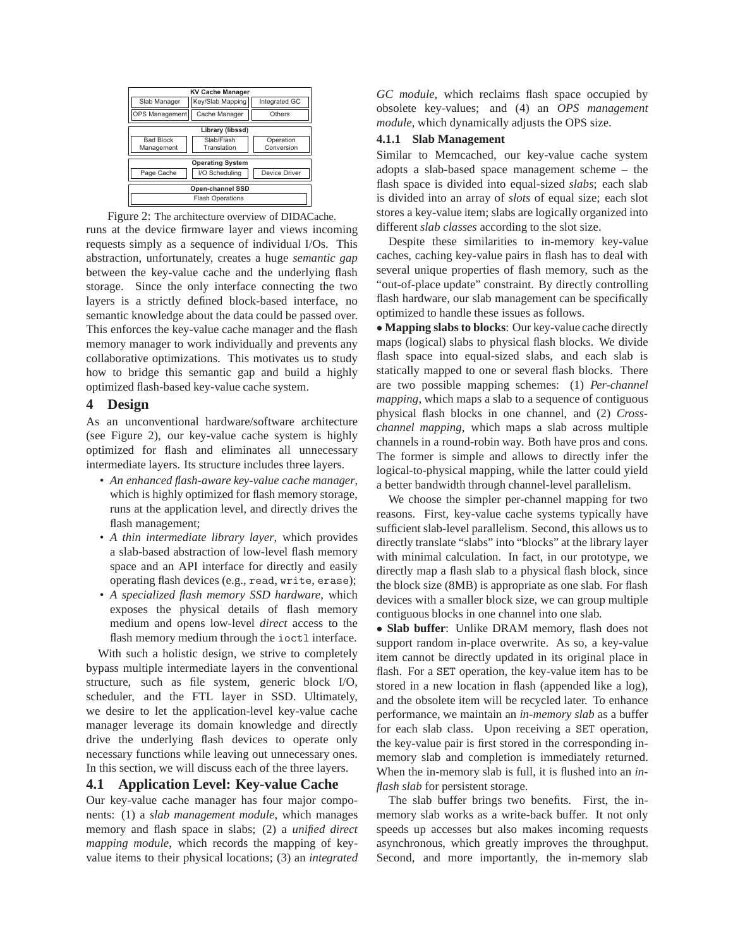| <b>KV Cache Manager</b> |                                   |            |  |  |
|-------------------------|-----------------------------------|------------|--|--|
| Slab Manager            | Key/Slab Mapping<br>Integrated GC |            |  |  |
| <b>OPS Management</b>   | Cache Manager                     | Others     |  |  |
| Library (libssd)        |                                   |            |  |  |
| <b>Bad Block</b>        | Slab/Flash                        | Operation  |  |  |
| Management              | Translation                       | Conversion |  |  |
| <b>Operating System</b> |                                   |            |  |  |
| Page Cache              | Device Driver<br>I/O Scheduling   |            |  |  |
| Open-channel SSD        |                                   |            |  |  |
| <b>Flash Operations</b> |                                   |            |  |  |
|                         |                                   |            |  |  |

Figure 2: The architecture overview of DIDACache. runs at the device firmware layer and views incoming requests simply as a sequence of individual I/Os. This abstraction, unfortunately, creates a huge *semantic gap* between the key-value cache and the underlying flash storage. Since the only interface connecting the two layers is a strictly defined block-based interface, no semantic knowledge about the data could be passed over. This enforces the key-value cache manager and the flash memory manager to work individually and prevents any collaborative optimizations. This motivates us to study how to bridge this semantic gap and build a highly optimized flash-based key-value cache system.

# **4 Design**

As an unconventional hardware/software architecture (see Figure 2), our key-value cache system is highly optimized for flash and eliminates all unnecessary intermediate layers. Its structure includes three layers.

- *An enhanced flash-aware key-value cache manager*, which is highly optimized for flash memory storage, runs at the application level, and directly drives the flash management;
- *A thin intermediate library layer*, which provides a slab-based abstraction of low-level flash memory space and an API interface for directly and easily operating flash devices (e.g., read, write, erase);
- *A specialized flash memory SSD hardware*, which exposes the physical details of flash memory medium and opens low-level *direct* access to the flash memory medium through the ioctl interface.

With such a holistic design, we strive to completely bypass multiple intermediate layers in the conventional structure, such as file system, generic block I/O, scheduler, and the FTL layer in SSD. Ultimately, we desire to let the application-level key-value cache manager leverage its domain knowledge and directly drive the underlying flash devices to operate only necessary functions while leaving out unnecessary ones. In this section, we will discuss each of the three layers.

# **4.1 Application Level: Key-value Cache**

Our key-value cache manager has four major components: (1) a *slab management module*, which manages memory and flash space in slabs; (2) a *unified direct mapping module*, which records the mapping of keyvalue items to their physical locations; (3) an *integrated* *GC module*, which reclaims flash space occupied by obsolete key-values; and (4) an *OPS management module*, which dynamically adjusts the OPS size.

# **4.1.1 Slab Management**

Similar to Memcached, our key-value cache system adopts a slab-based space management scheme – the flash space is divided into equal-sized *slabs*; each slab is divided into an array of *slots* of equal size; each slot stores a key-value item; slabs are logically organized into different *slab classes* according to the slot size.

Despite these similarities to in-memory key-value caches, caching key-value pairs in flash has to deal with several unique properties of flash memory, such as the "out-of-place update" constraint. By directly controlling flash hardware, our slab management can be specifically optimized to handle these issues as follows.

• **Mapping slabs to blocks**: Our key-value cache directly maps (logical) slabs to physical flash blocks. We divide flash space into equal-sized slabs, and each slab is statically mapped to one or several flash blocks. There are two possible mapping schemes: (1) *Per-channel mapping*, which maps a slab to a sequence of contiguous physical flash blocks in one channel, and (2) *Crosschannel mapping*, which maps a slab across multiple channels in a round-robin way. Both have pros and cons. The former is simple and allows to directly infer the logical-to-physical mapping, while the latter could yield a better bandwidth through channel-level parallelism.

We choose the simpler per-channel mapping for two reasons. First, key-value cache systems typically have sufficient slab-level parallelism. Second, this allows us to directly translate "slabs" into "blocks" at the library layer with minimal calculation. In fact, in our prototype, we directly map a flash slab to a physical flash block, since the block size (8MB) is appropriate as one slab. For flash devices with a smaller block size, we can group multiple contiguous blocks in one channel into one slab.

• **Slab buffer**: Unlike DRAM memory, flash does not support random in-place overwrite. As so, a key-value item cannot be directly updated in its original place in flash. For a SET operation, the key-value item has to be stored in a new location in flash (appended like a log), and the obsolete item will be recycled later. To enhance performance, we maintain an *in-memory slab* as a buffer for each slab class. Upon receiving a SET operation, the key-value pair is first stored in the corresponding inmemory slab and completion is immediately returned. When the in-memory slab is full, it is flushed into an *inflash slab* for persistent storage.

The slab buffer brings two benefits. First, the inmemory slab works as a write-back buffer. It not only speeds up accesses but also makes incoming requests asynchronous, which greatly improves the throughput. Second, and more importantly, the in-memory slab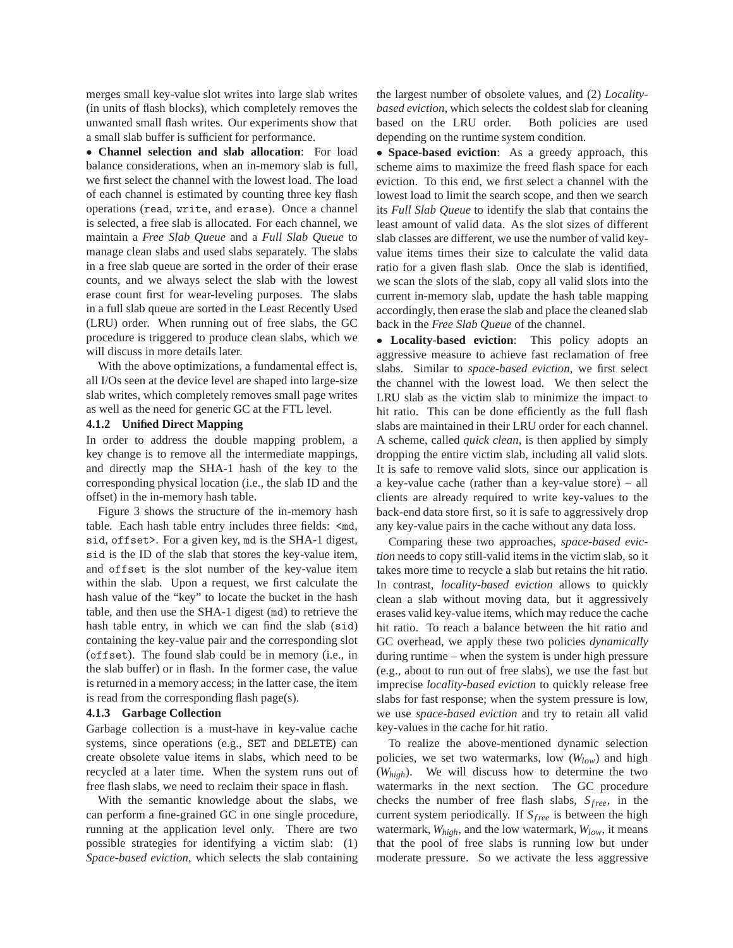merges small key-value slot writes into large slab writes (in units of flash blocks), which completely removes the unwanted small flash writes. Our experiments show that a small slab buffer is sufficient for performance.

• **Channel selection and slab allocation**: For load balance considerations, when an in-memory slab is full, we first select the channel with the lowest load. The load of each channel is estimated by counting three key flash operations (read, write, and erase). Once a channel is selected, a free slab is allocated. For each channel, we maintain a *Free Slab Queue* and a *Full Slab Queue* to manage clean slabs and used slabs separately. The slabs in a free slab queue are sorted in the order of their erase counts, and we always select the slab with the lowest erase count first for wear-leveling purposes. The slabs in a full slab queue are sorted in the Least Recently Used (LRU) order. When running out of free slabs, the GC procedure is triggered to produce clean slabs, which we will discuss in more details later.

With the above optimizations, a fundamental effect is, all I/Os seen at the device level are shaped into large-size slab writes, which completely removes small page writes as well as the need for generic GC at the FTL level.

## **4.1.2 Unified Direct Mapping**

In order to address the double mapping problem, a key change is to remove all the intermediate mappings, and directly map the SHA-1 hash of the key to the corresponding physical location (i.e., the slab ID and the offset) in the in-memory hash table.

Figure 3 shows the structure of the in-memory hash table. Each hash table entry includes three fields: <md, sid, offset>. For a given key, md is the SHA-1 digest, sid is the ID of the slab that stores the key-value item, and offset is the slot number of the key-value item within the slab. Upon a request, we first calculate the hash value of the "key" to locate the bucket in the hash table, and then use the SHA-1 digest (md) to retrieve the hash table entry, in which we can find the slab (sid) containing the key-value pair and the corresponding slot (offset). The found slab could be in memory (i.e., in the slab buffer) or in flash. In the former case, the value is returned in a memory access; in the latter case, the item is read from the corresponding flash page(s).

#### **4.1.3 Garbage Collection**

Garbage collection is a must-have in key-value cache systems, since operations (e.g., SET and DELETE) can create obsolete value items in slabs, which need to be recycled at a later time. When the system runs out of free flash slabs, we need to reclaim their space in flash.

With the semantic knowledge about the slabs, we can perform a fine-grained GC in one single procedure, running at the application level only. There are two possible strategies for identifying a victim slab: (1) *Space-based eviction*, which selects the slab containing the largest number of obsolete values, and (2) *Localitybased eviction*, which selects the coldest slab for cleaning based on the LRU order. Both policies are used depending on the runtime system condition.

• **Space-based eviction**: As a greedy approach, this scheme aims to maximize the freed flash space for each eviction. To this end, we first select a channel with the lowest load to limit the search scope, and then we search its *Full Slab Queue* to identify the slab that contains the least amount of valid data. As the slot sizes of different slab classes are different, we use the number of valid keyvalue items times their size to calculate the valid data ratio for a given flash slab. Once the slab is identified, we scan the slots of the slab, copy all valid slots into the current in-memory slab, update the hash table mapping accordingly, then erase the slab and place the cleaned slab back in the *Free Slab Queue* of the channel.

• **Locality-based eviction**: This policy adopts an aggressive measure to achieve fast reclamation of free slabs. Similar to *space-based eviction*, we first select the channel with the lowest load. We then select the LRU slab as the victim slab to minimize the impact to hit ratio. This can be done efficiently as the full flash slabs are maintained in their LRU order for each channel. A scheme, called *quick clean*, is then applied by simply dropping the entire victim slab, including all valid slots. It is safe to remove valid slots, since our application is a key-value cache (rather than a key-value store) – all clients are already required to write key-values to the back-end data store first, so it is safe to aggressively drop any key-value pairs in the cache without any data loss.

Comparing these two approaches, *space-based eviction* needs to copy still-valid items in the victim slab, so it takes more time to recycle a slab but retains the hit ratio. In contrast, *locality-based eviction* allows to quickly clean a slab without moving data, but it aggressively erases valid key-value items, which may reduce the cache hit ratio. To reach a balance between the hit ratio and GC overhead, we apply these two policies *dynamically* during runtime – when the system is under high pressure (e.g., about to run out of free slabs), we use the fast but imprecise *locality-based eviction* to quickly release free slabs for fast response; when the system pressure is low, we use *space-based eviction* and try to retain all valid key-values in the cache for hit ratio.

To realize the above-mentioned dynamic selection policies, we set two watermarks, low (*Wlow*) and high (*Whigh*). We will discuss how to determine the two watermarks in the next section. The GC procedure checks the number of free flash slabs,  $S_{free}$ , in the current system periodically. If  $S_{free}$  is between the high watermark, *Whigh*, and the low watermark, *Wlow*, it means that the pool of free slabs is running low but under moderate pressure. So we activate the less aggressive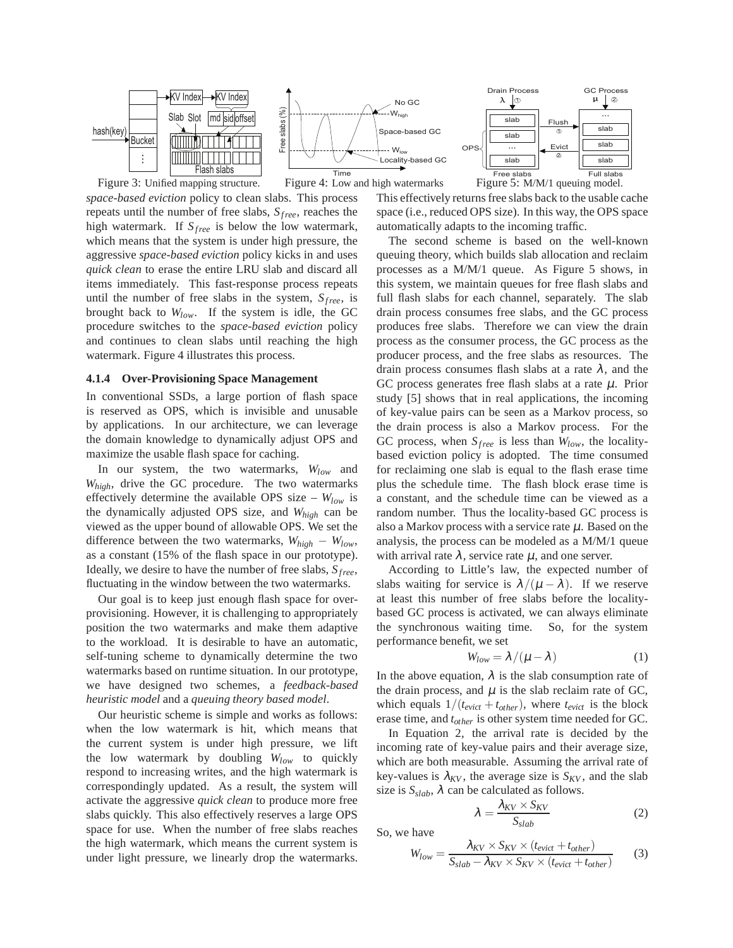





Figure 3: Unified mapping structure.

*space-based eviction* policy to clean slabs. This process repeats until the number of free slabs,  $S_{free}$ , reaches the high watermark. If  $S_{free}$  is below the low watermark, which means that the system is under high pressure, the aggressive *space-based eviction* policy kicks in and uses *quick clean* to erase the entire LRU slab and discard all items immediately. This fast-response process repeats until the number of free slabs in the system,  $S_{free}$ , is brought back to *Wlow*. If the system is idle, the GC procedure switches to the *space-based eviction* policy and continues to clean slabs until reaching the high watermark. Figure 4 illustrates this process.

#### **4.1.4 Over-Provisioning Space Management**

In conventional SSDs, a large portion of flash space is reserved as OPS, which is invisible and unusable by applications. In our architecture, we can leverage the domain knowledge to dynamically adjust OPS and maximize the usable flash space for caching.

In our system, the two watermarks, *Wlow* and *Whigh*, drive the GC procedure. The two watermarks effectively determine the available OPS size – *Wlow* is the dynamically adjusted OPS size, and *Whigh* can be viewed as the upper bound of allowable OPS. We set the difference between the two watermarks,  $W_{high} - W_{low}$ , as a constant (15% of the flash space in our prototype). Ideally, we desire to have the number of free slabs,  $S_{free}$ , fluctuating in the window between the two watermarks.

Our goal is to keep just enough flash space for overprovisioning. However, it is challenging to appropriately position the two watermarks and make them adaptive to the workload. It is desirable to have an automatic, self-tuning scheme to dynamically determine the two watermarks based on runtime situation. In our prototype, we have designed two schemes, a *feedback-based heuristic model* and a *queuing theory based model*.

Our heuristic scheme is simple and works as follows: when the low watermark is hit, which means that the current system is under high pressure, we lift the low watermark by doubling *Wlow* to quickly respond to increasing writes, and the high watermark is correspondingly updated. As a result, the system will activate the aggressive *quick clean* to produce more free slabs quickly. This also effectively reserves a large OPS space for use. When the number of free slabs reaches the high watermark, which means the current system is under light pressure, we linearly drop the watermarks.

Figure 5: M/M/1 queuing model. This effectively returns free slabs back to the usable cache space (i.e., reduced OPS size). In this way, the OPS space

automatically adapts to the incoming traffic. The second scheme is based on the well-known queuing theory, which builds slab allocation and reclaim processes as a M/M/1 queue. As Figure 5 shows, in this system, we maintain queues for free flash slabs and full flash slabs for each channel, separately. The slab drain process consumes free slabs, and the GC process produces free slabs. Therefore we can view the drain process as the consumer process, the GC process as the producer process, and the free slabs as resources. The drain process consumes flash slabs at a rate  $\lambda$ , and the GC process generates free flash slabs at a rate  $\mu$ . Prior study [5] shows that in real applications, the incoming of key-value pairs can be seen as a Markov process, so the drain process is also a Markov process. For the GC process, when  $S_{free}$  is less than  $W_{low}$ , the localitybased eviction policy is adopted. The time consumed for reclaiming one slab is equal to the flash erase time plus the schedule time. The flash block erase time is a constant, and the schedule time can be viewed as a random number. Thus the locality-based GC process is also a Markov process with a service rate  $\mu$ . Based on the analysis, the process can be modeled as a M/M/1 queue with arrival rate  $\lambda$ , service rate  $\mu$ , and one server.

According to Little's law, the expected number of slabs waiting for service is  $\lambda/(\mu - \lambda)$ . If we reserve at least this number of free slabs before the localitybased GC process is activated, we can always eliminate the synchronous waiting time. So, for the system performance benefit, we set

$$
W_{low} = \lambda / (\mu - \lambda)
$$
 (1)

In the above equation,  $\lambda$  is the slab consumption rate of the drain process, and  $\mu$  is the slab reclaim rate of GC, which equals  $1/(t_{evict} + t_{other})$ , where  $t_{evict}$  is the block erase time, and *tother* is other system time needed for GC.

In Equation 2, the arrival rate is decided by the incoming rate of key-value pairs and their average size, which are both measurable. Assuming the arrival rate of key-values is  $\lambda_{KV}$ , the average size is  $S_{KV}$ , and the slab size is  $S_{slab}$ ,  $\lambda$  can be calculated as follows.

$$
\lambda = \frac{\lambda_{KV} \times S_{KV}}{S_{slab}}
$$
 (2)

So, we have

$$
W_{low} = \frac{\lambda_{KV} \times S_{KV} \times (t_{evict} + t_{other})}{S_{slab} - \lambda_{KV} \times S_{KV} \times (t_{evict} + t_{other})}
$$
(3)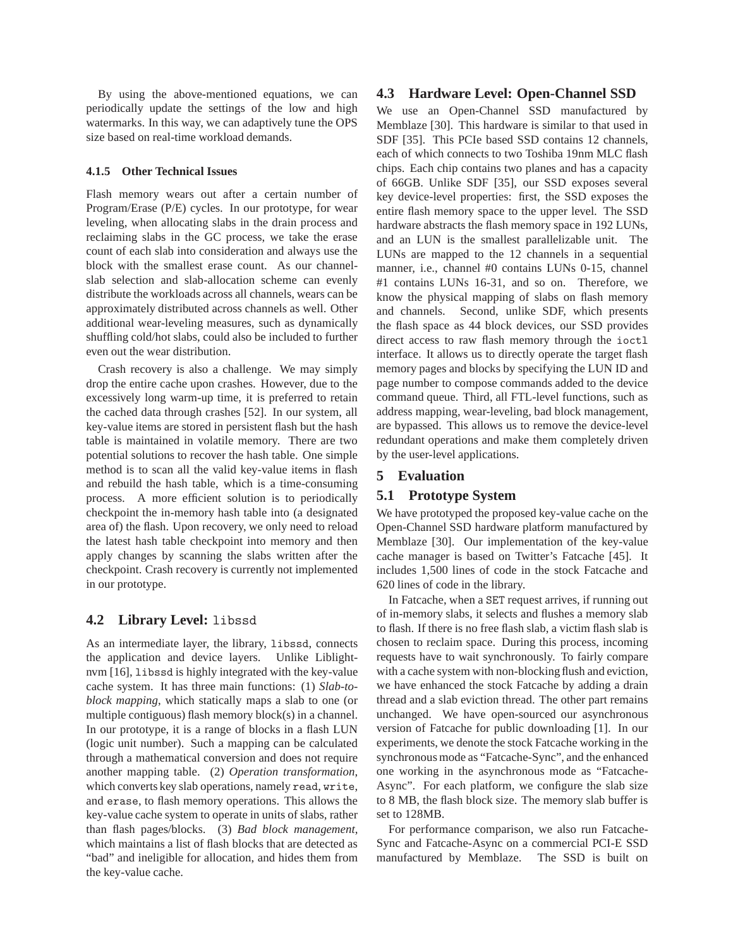By using the above-mentioned equations, we can periodically update the settings of the low and high watermarks. In this way, we can adaptively tune the OPS size based on real-time workload demands.

#### **4.1.5 Other Technical Issues**

Flash memory wears out after a certain number of Program/Erase (P/E) cycles. In our prototype, for wear leveling, when allocating slabs in the drain process and reclaiming slabs in the GC process, we take the erase count of each slab into consideration and always use the block with the smallest erase count. As our channelslab selection and slab-allocation scheme can evenly distribute the workloads across all channels, wears can be approximately distributed across channels as well. Other additional wear-leveling measures, such as dynamically shuffling cold/hot slabs, could also be included to further even out the wear distribution.

Crash recovery is also a challenge. We may simply drop the entire cache upon crashes. However, due to the excessively long warm-up time, it is preferred to retain the cached data through crashes [52]. In our system, all key-value items are stored in persistent flash but the hash table is maintained in volatile memory. There are two potential solutions to recover the hash table. One simple method is to scan all the valid key-value items in flash and rebuild the hash table, which is a time-consuming process. A more efficient solution is to periodically checkpoint the in-memory hash table into (a designated area of) the flash. Upon recovery, we only need to reload the latest hash table checkpoint into memory and then apply changes by scanning the slabs written after the checkpoint. Crash recovery is currently not implemented in our prototype.

# **4.2 Library Level:** libssd

As an intermediate layer, the library, libssd, connects the application and device layers. Unlike Liblightnvm [16], libssd is highly integrated with the key-value cache system. It has three main functions: (1) *Slab-toblock mapping*, which statically maps a slab to one (or multiple contiguous) flash memory block(s) in a channel. In our prototype, it is a range of blocks in a flash LUN (logic unit number). Such a mapping can be calculated through a mathematical conversion and does not require another mapping table. (2) *Operation transformation*, which converts key slab operations, namely read, write, and erase, to flash memory operations. This allows the key-value cache system to operate in units of slabs, rather than flash pages/blocks. (3) *Bad block management*, which maintains a list of flash blocks that are detected as "bad" and ineligible for allocation, and hides them from the key-value cache.

### **4.3 Hardware Level: Open-Channel SSD**

We use an Open-Channel SSD manufactured by Memblaze [30]. This hardware is similar to that used in SDF [35]. This PCIe based SSD contains 12 channels, each of which connects to two Toshiba 19nm MLC flash chips. Each chip contains two planes and has a capacity of 66GB. Unlike SDF [35], our SSD exposes several key device-level properties: first, the SSD exposes the entire flash memory space to the upper level. The SSD hardware abstracts the flash memory space in 192 LUNs, and an LUN is the smallest parallelizable unit. The LUNs are mapped to the 12 channels in a sequential manner, i.e., channel #0 contains LUNs 0-15, channel #1 contains LUNs 16-31, and so on. Therefore, we know the physical mapping of slabs on flash memory and channels. Second, unlike SDF, which presents the flash space as 44 block devices, our SSD provides direct access to raw flash memory through the ioctl interface. It allows us to directly operate the target flash memory pages and blocks by specifying the LUN ID and page number to compose commands added to the device command queue. Third, all FTL-level functions, such as address mapping, wear-leveling, bad block management, are bypassed. This allows us to remove the device-level redundant operations and make them completely driven by the user-level applications.

#### **5 Evaluation**

#### **5.1 Prototype System**

We have prototyped the proposed key-value cache on the Open-Channel SSD hardware platform manufactured by Memblaze [30]. Our implementation of the key-value cache manager is based on Twitter's Fatcache [45]. It includes 1,500 lines of code in the stock Fatcache and 620 lines of code in the library.

In Fatcache, when a SET request arrives, if running out of in-memory slabs, it selects and flushes a memory slab to flash. If there is no free flash slab, a victim flash slab is chosen to reclaim space. During this process, incoming requests have to wait synchronously. To fairly compare with a cache system with non-blocking flush and eviction, we have enhanced the stock Fatcache by adding a drain thread and a slab eviction thread. The other part remains unchanged. We have open-sourced our asynchronous version of Fatcache for public downloading [1]. In our experiments, we denote the stock Fatcache working in the synchronous mode as "Fatcache-Sync", and the enhanced one working in the asynchronous mode as "Fatcache-Async". For each platform, we configure the slab size to 8 MB, the flash block size. The memory slab buffer is set to 128MB.

For performance comparison, we also run Fatcache-Sync and Fatcache-Async on a commercial PCI-E SSD manufactured by Memblaze. The SSD is built on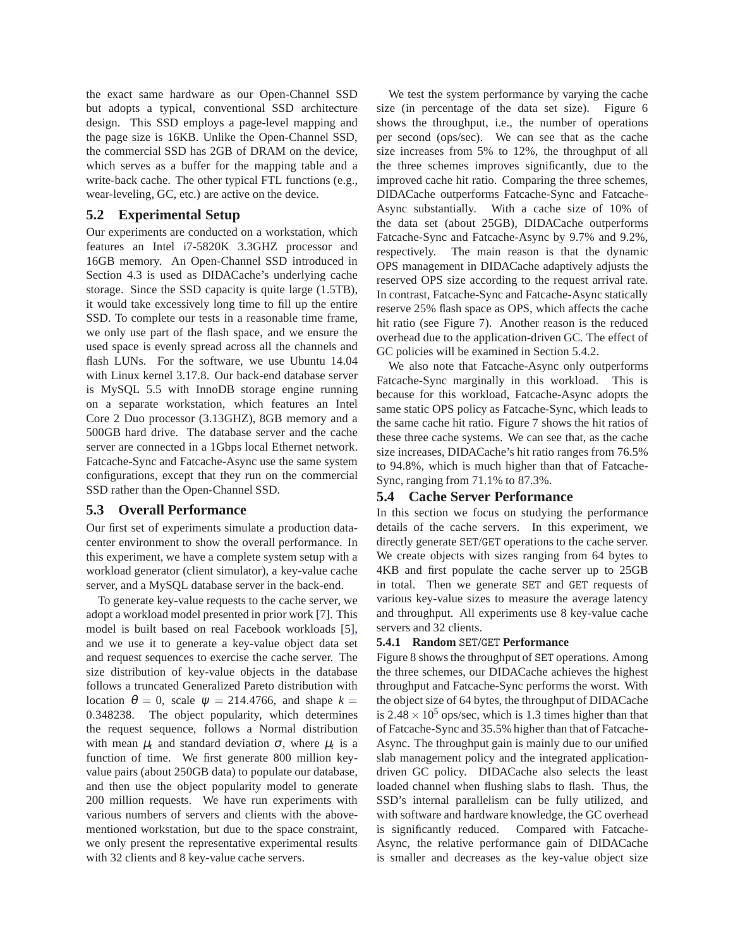the exact same hardware as our Open-Channel SSD but adopts a typical, conventional SSD architecture design. This SSD employs a page-level mapping and the page size is 16KB. Unlike the Open-Channel SSD, the commercial SSD has 2GB of DRAM on the device, which serves as a buffer for the mapping table and a write-back cache. The other typical FTL functions (e.g., wear-leveling, GC, etc.) are active on the device.

# **5.2 Experimental Setup**

Our experiments are conducted on a workstation, which features an Intel i7-5820K 3.3GHZ processor and 16GB memory. An Open-Channel SSD introduced in Section 4.3 is used as DIDACache's underlying cache storage. Since the SSD capacity is quite large (1.5TB), it would take excessively long time to fill up the entire SSD. To complete our tests in a reasonable time frame, we only use part of the flash space, and we ensure the used space is evenly spread across all the channels and flash LUNs. For the software, we use Ubuntu 14.04 with Linux kernel 3.17.8. Our back-end database server is MySQL 5.5 with InnoDB storage engine running on a separate workstation, which features an Intel Core 2 Duo processor (3.13GHZ), 8GB memory and a 500GB hard drive. The database server and the cache server are connected in a 1Gbps local Ethernet network. Fatcache-Sync and Fatcache-Async use the same system configurations, except that they run on the commercial SSD rather than the Open-Channel SSD.

# **5.3 Overall Performance**

Our first set of experiments simulate a production datacenter environment to show the overall performance. In this experiment, we have a complete system setup with a workload generator (client simulator), a key-value cache server, and a MySQL database server in the back-end.

To generate key-value requests to the cache server, we adopt a workload model presented in prior work [7]. This model is built based on real Facebook workloads [5], and we use it to generate a key-value object data set and request sequences to exercise the cache server. The size distribution of key-value objects in the database follows a truncated Generalized Pareto distribution with location  $\theta = 0$ , scale  $\psi = 214.4766$ , and shape  $k =$ 0.348238. The object popularity, which determines the request sequence, follows a Normal distribution with mean  $\mu_t$  and standard deviation  $\sigma$ , where  $\mu_t$  is a function of time. We first generate 800 million keyvalue pairs (about 250GB data) to populate our database, and then use the object popularity model to generate 200 million requests. We have run experiments with various numbers of servers and clients with the abovementioned workstation, but due to the space constraint, we only present the representative experimental results with 32 clients and 8 key-value cache servers.

We test the system performance by varying the cache size (in percentage of the data set size). Figure 6 shows the throughput, i.e., the number of operations per second (ops/sec). We can see that as the cache size increases from 5% to 12%, the throughput of all the three schemes improves significantly, due to the improved cache hit ratio. Comparing the three schemes, DIDACache outperforms Fatcache-Sync and Fatcache-Async substantially. With a cache size of 10% of the data set (about 25GB), DIDACache outperforms Fatcache-Sync and Fatcache-Async by 9.7% and 9.2%, respectively. The main reason is that the dynamic OPS management in DIDACache adaptively adjusts the reserved OPS size according to the request arrival rate. In contrast, Fatcache-Sync and Fatcache-Async statically reserve 25% flash space as OPS, which affects the cache hit ratio (see Figure 7). Another reason is the reduced overhead due to the application-driven GC. The effect of GC policies will be examined in Section 5.4.2.

We also note that Fatcache-Async only outperforms Fatcache-Sync marginally in this workload. This is because for this workload, Fatcache-Async adopts the same static OPS policy as Fatcache-Sync, which leads to the same cache hit ratio. Figure 7 shows the hit ratios of these three cache systems. We can see that, as the cache size increases, DIDACache's hit ratio ranges from 76.5% to 94.8%, which is much higher than that of Fatcache-Sync, ranging from 71.1% to 87.3%.

# **5.4 Cache Server Performance**

In this section we focus on studying the performance details of the cache servers. In this experiment, we directly generate SET/GET operations to the cache server. We create objects with sizes ranging from 64 bytes to 4KB and first populate the cache server up to 25GB in total. Then we generate SET and GET requests of various key-value sizes to measure the average latency and throughput. All experiments use 8 key-value cache servers and 32 clients.

# **5.4.1 Random** SET**/**GET **Performance**

Figure 8 shows the throughput of SET operations. Among the three schemes, our DIDACache achieves the highest throughput and Fatcache-Sync performs the worst. With the object size of 64 bytes, the throughput of DIDACache is  $2.48 \times 10^5$  ops/sec, which is 1.3 times higher than that of Fatcache-Sync and 35.5% higher than that of Fatcache-Async. The throughput gain is mainly due to our unified slab management policy and the integrated applicationdriven GC policy. DIDACache also selects the least loaded channel when flushing slabs to flash. Thus, the SSD's internal parallelism can be fully utilized, and with software and hardware knowledge, the GC overhead is significantly reduced. Compared with Fatcache-Async, the relative performance gain of DIDACache is smaller and decreases as the key-value object size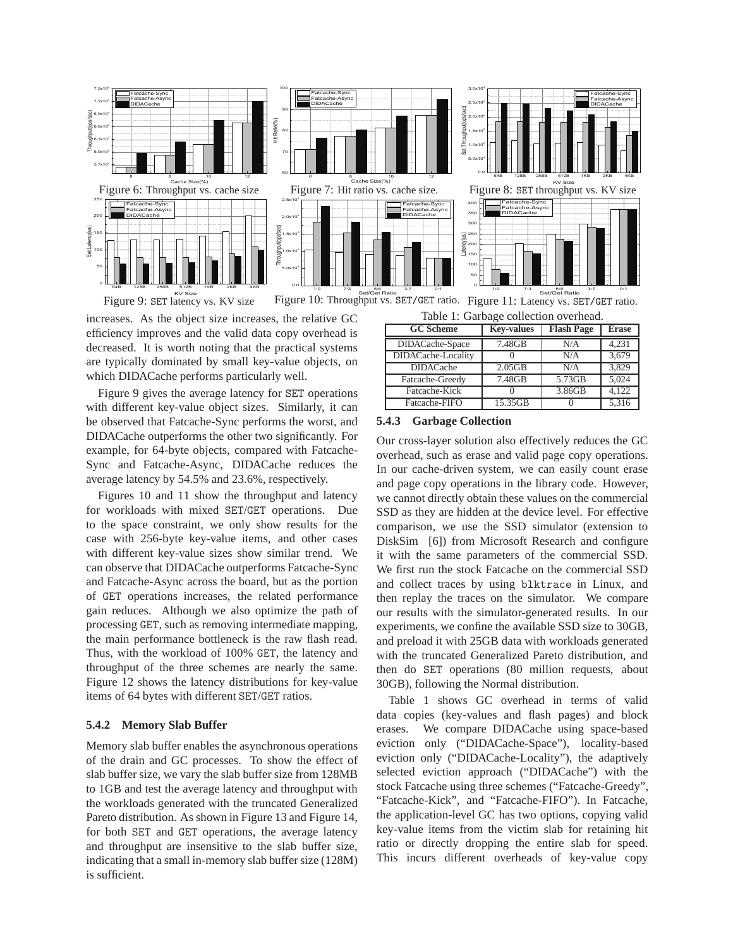

Figure 9: SET latency vs. KV size

Figure 10: Throughput vs. SET/GET ratio. Figure 11: Latency vs. SET/GET ratio.

increases. As the object size increases, the relative GC efficiency improves and the valid data copy overhead is decreased. It is worth noting that the practical systems are typically dominated by small key-value objects, on which DIDACache performs particularly well.

Figure 9 gives the average latency for SET operations with different key-value object sizes. Similarly, it can be observed that Fatcache-Sync performs the worst, and DIDACache outperforms the other two significantly. For example, for 64-byte objects, compared with Fatcache-Sync and Fatcache-Async, DIDACache reduces the average latency by 54.5% and 23.6%, respectively.

Figures 10 and 11 show the throughput and latency for workloads with mixed SET/GET operations. Due to the space constraint, we only show results for the case with 256-byte key-value items, and other cases with different key-value sizes show similar trend. We can observe that DIDACache outperforms Fatcache-Sync and Fatcache-Async across the board, but as the portion of GET operations increases, the related performance gain reduces. Although we also optimize the path of processing GET, such as removing intermediate mapping, the main performance bottleneck is the raw flash read. Thus, with the workload of 100% GET, the latency and throughput of the three schemes are nearly the same. Figure 12 shows the latency distributions for key-value items of 64 bytes with different SET/GET ratios.

#### **5.4.2 Memory Slab Buffer**

Memory slab buffer enables the asynchronous operations of the drain and GC processes. To show the effect of slab buffer size, we vary the slab buffer size from 128MB to 1GB and test the average latency and throughput with the workloads generated with the truncated Generalized Pareto distribution. As shown in Figure 13 and Figure 14, for both SET and GET operations, the average latency and throughput are insensitive to the slab buffer size, indicating that a small in-memory slab buffer size (128M) is sufficient.

| Table 1: Garbage collection overhead. |                   |                   |              |  |
|---------------------------------------|-------------------|-------------------|--------------|--|
| <b>GC</b> Scheme                      | <b>Key-values</b> | <b>Flash Page</b> | <b>Erase</b> |  |
| DIDACache-Space                       | 7.48GB            | N/A               | 4.231        |  |
| DIDACache-Locality                    |                   | N/A               | 3,679        |  |
| <b>DIDACache</b>                      | 2.05GB            | N/A               | 3,829        |  |
| Fatcache-Greedy                       | 7.48GB            | 5.73GB            | 5,024        |  |
| Fatcache-Kick                         |                   | 3.86GB            | 4.122        |  |
| Fatcache-FIFO                         | 15.35GB           |                   | 5,316        |  |

## **5.4.3 Garbage Collection**

Our cross-layer solution also effectively reduces the GC overhead, such as erase and valid page copy operations. In our cache-driven system, we can easily count erase and page copy operations in the library code. However, we cannot directly obtain these values on the commercial SSD as they are hidden at the device level. For effective comparison, we use the SSD simulator (extension to DiskSim [6]) from Microsoft Research and configure it with the same parameters of the commercial SSD. We first run the stock Fatcache on the commercial SSD and collect traces by using blktrace in Linux, and then replay the traces on the simulator. We compare our results with the simulator-generated results. In our experiments, we confine the available SSD size to 30GB, and preload it with 25GB data with workloads generated with the truncated Generalized Pareto distribution, and then do SET operations (80 million requests, about 30GB), following the Normal distribution.

Table 1 shows GC overhead in terms of valid data copies (key-values and flash pages) and block erases. We compare DIDACache using space-based eviction only ("DIDACache-Space"), locality-based eviction only ("DIDACache-Locality"), the adaptively selected eviction approach ("DIDACache") with the stock Fatcache using three schemes ("Fatcache-Greedy", "Fatcache-Kick", and "Fatcache-FIFO"). In Fatcache, the application-level GC has two options, copying valid key-value items from the victim slab for retaining hit ratio or directly dropping the entire slab for speed. This incurs different overheads of key-value copy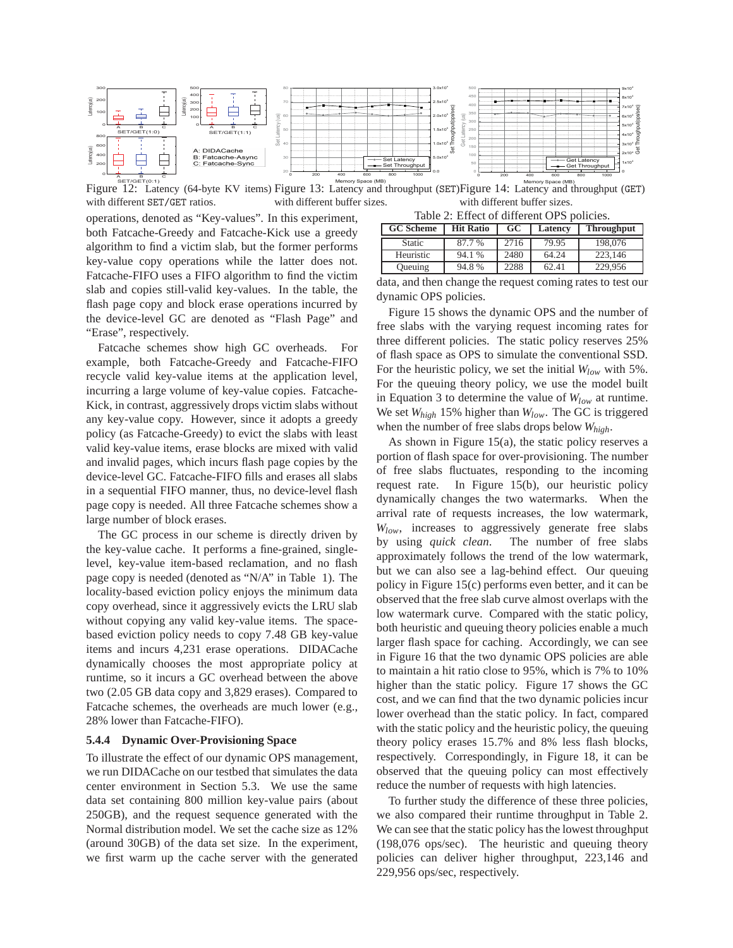

Figure 12: Latency (64-byte KV items) Figure 13: Latency and throughput (SET) Figure 14: Latency and throughput (GET) with different SET/GET ratios. with different buffer sizes. with different buffer sizes.

operations, denoted as "Key-values". In this experiment, both Fatcache-Greedy and Fatcache-Kick use a greedy algorithm to find a victim slab, but the former performs key-value copy operations while the latter does not. Fatcache-FIFO uses a FIFO algorithm to find the victim slab and copies still-valid key-values. In the table, the flash page copy and block erase operations incurred by the device-level GC are denoted as "Flash Page" and "Erase", respectively.

Fatcache schemes show high GC overheads. For example, both Fatcache-Greedy and Fatcache-FIFO recycle valid key-value items at the application level, incurring a large volume of key-value copies. Fatcache-Kick, in contrast, aggressively drops victim slabs without any key-value copy. However, since it adopts a greedy policy (as Fatcache-Greedy) to evict the slabs with least valid key-value items, erase blocks are mixed with valid and invalid pages, which incurs flash page copies by the device-level GC. Fatcache-FIFO fills and erases all slabs in a sequential FIFO manner, thus, no device-level flash page copy is needed. All three Fatcache schemes show a large number of block erases.

The GC process in our scheme is directly driven by the key-value cache. It performs a fine-grained, singlelevel, key-value item-based reclamation, and no flash page copy is needed (denoted as "N/A" in Table 1). The locality-based eviction policy enjoys the minimum data copy overhead, since it aggressively evicts the LRU slab without copying any valid key-value items. The spacebased eviction policy needs to copy 7.48 GB key-value items and incurs 4,231 erase operations. DIDACache dynamically chooses the most appropriate policy at runtime, so it incurs a GC overhead between the above two (2.05 GB data copy and 3,829 erases). Compared to Fatcache schemes, the overheads are much lower (e.g., 28% lower than Fatcache-FIFO).

#### **5.4.4 Dynamic Over-Provisioning Space**

To illustrate the effect of our dynamic OPS management, we run DIDACache on our testbed that simulates the data center environment in Section 5.3. We use the same data set containing 800 million key-value pairs (about 250GB), and the request sequence generated with the Normal distribution model. We set the cache size as 12% (around 30GB) of the data set size. In the experiment, we first warm up the cache server with the generated

| Table 2: Effect of different OPS policies. |  |
|--------------------------------------------|--|
|--------------------------------------------|--|

| <b>GC</b> Scheme | <b>Hit Ratio</b> | GC.  | Latency | <b>Throughput</b> |
|------------------|------------------|------|---------|-------------------|
| <b>Static</b>    | 87.7 %           | 2716 | 79.95   | 198,076           |
| Heuristic        | 94.1 %           | 2480 | 64.24   | 223,146           |
| Queuing          | 94.8%            | 2288 | 62.41   | 229,956           |

data, and then change the request coming rates to test our dynamic OPS policies.

Figure 15 shows the dynamic OPS and the number of free slabs with the varying request incoming rates for three different policies. The static policy reserves 25% of flash space as OPS to simulate the conventional SSD. For the heuristic policy, we set the initial *Wlow* with 5%. For the queuing theory policy, we use the model built in Equation 3 to determine the value of *Wlow* at runtime. We set *Whigh* 15% higher than *Wlow*. The GC is triggered when the number of free slabs drops below *Whigh*.

As shown in Figure 15(a), the static policy reserves a portion of flash space for over-provisioning. The number of free slabs fluctuates, responding to the incoming request rate. In Figure 15(b), our heuristic policy dynamically changes the two watermarks. When the arrival rate of requests increases, the low watermark, *Wlow*, increases to aggressively generate free slabs by using *quick clean*. The number of free slabs approximately follows the trend of the low watermark, but we can also see a lag-behind effect. Our queuing policy in Figure 15(c) performs even better, and it can be observed that the free slab curve almost overlaps with the low watermark curve. Compared with the static policy, both heuristic and queuing theory policies enable a much larger flash space for caching. Accordingly, we can see in Figure 16 that the two dynamic OPS policies are able to maintain a hit ratio close to 95%, which is 7% to 10% higher than the static policy. Figure 17 shows the GC cost, and we can find that the two dynamic policies incur lower overhead than the static policy. In fact, compared with the static policy and the heuristic policy, the queuing theory policy erases 15.7% and 8% less flash blocks, respectively. Correspondingly, in Figure 18, it can be observed that the queuing policy can most effectively reduce the number of requests with high latencies.

To further study the difference of these three policies, we also compared their runtime throughput in Table 2. We can see that the static policy has the lowest throughput (198,076 ops/sec). The heuristic and queuing theory policies can deliver higher throughput, 223,146 and 229,956 ops/sec, respectively.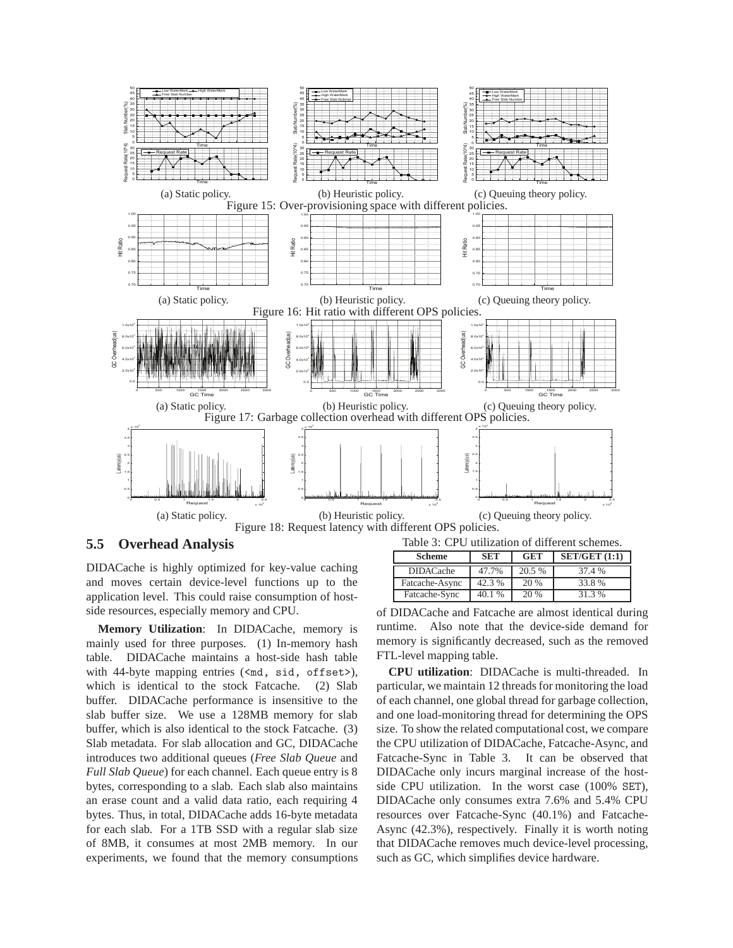

#### **5.5 Overhead Analysis**

DIDACache is highly optimized for key-value caching and moves certain device-level functions up to the application level. This could raise consumption of hostside resources, especially memory and CPU.

**Memory Utilization**: In DIDACache, memory is mainly used for three purposes. (1) In-memory hash table. DIDACache maintains a host-side hash table with 44-byte mapping entries (<md, sid, offset>), which is identical to the stock Fatcache. (2) Slab buffer. DIDACache performance is insensitive to the slab buffer size. We use a 128MB memory for slab buffer, which is also identical to the stock Fatcache. (3) Slab metadata. For slab allocation and GC, DIDACache introduces two additional queues (*Free Slab Queue* and *Full Slab Queue*) for each channel. Each queue entry is 8 bytes, corresponding to a slab. Each slab also maintains an erase count and a valid data ratio, each requiring 4 bytes. Thus, in total, DIDACache adds 16-byte metadata for each slab. For a 1TB SSD with a regular slab size of 8MB, it consumes at most 2MB memory. In our experiments, we found that the memory consumptions

| Table 3: CPU utilization of different schemes. |            |            |                   |  |  |
|------------------------------------------------|------------|------------|-------------------|--|--|
| <b>Scheme</b>                                  | <b>SET</b> | <b>GET</b> | $SET/GET$ $(1:1)$ |  |  |
| <b>DIDACache</b>                               | 47.7%      | 20.5 %     | 37.4 %            |  |  |
| Fatcache-Async                                 | 42.3 %     | 20 %       | 33.8 %            |  |  |
| Fatcache-Sync                                  | 40.1%      | 20 %       | 31.3 %            |  |  |

of DIDACache and Fatcache are almost identical during runtime. Also note that the device-side demand for memory is significantly decreased, such as the removed FTL-level mapping table.

**CPU utilization**: DIDACache is multi-threaded. In particular, we maintain 12 threads for monitoring the load of each channel, one global thread for garbage collection, and one load-monitoring thread for determining the OPS size. To show the related computational cost, we compare the CPU utilization of DIDACache, Fatcache-Async, and Fatcache-Sync in Table 3. It can be observed that DIDACache only incurs marginal increase of the hostside CPU utilization. In the worst case (100% SET), DIDACache only consumes extra 7.6% and 5.4% CPU resources over Fatcache-Sync (40.1%) and Fatcache-Async (42.3%), respectively. Finally it is worth noting that DIDACache removes much device-level processing, such as GC, which simplifies device hardware.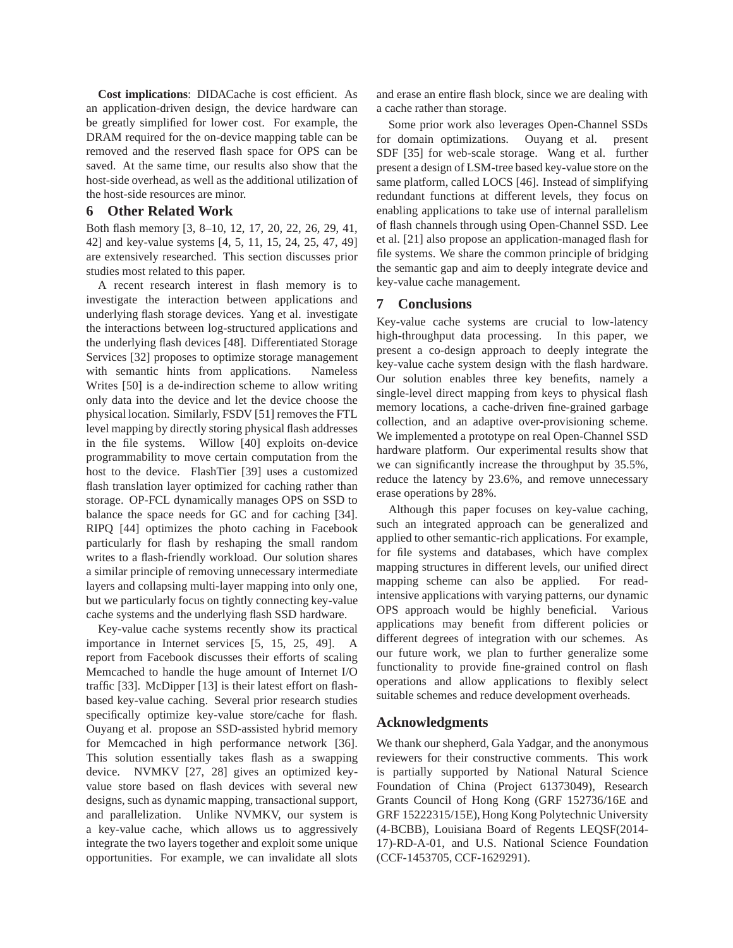**Cost implications**: DIDACache is cost efficient. As an application-driven design, the device hardware can be greatly simplified for lower cost. For example, the DRAM required for the on-device mapping table can be removed and the reserved flash space for OPS can be saved. At the same time, our results also show that the host-side overhead, as well as the additional utilization of the host-side resources are minor.

## **6 Other Related Work**

Both flash memory [3, 8–10, 12, 17, 20, 22, 26, 29, 41, 42] and key-value systems [4, 5, 11, 15, 24, 25, 47, 49] are extensively researched. This section discusses prior studies most related to this paper.

A recent research interest in flash memory is to investigate the interaction between applications and underlying flash storage devices. Yang et al. investigate the interactions between log-structured applications and the underlying flash devices [48]. Differentiated Storage Services [32] proposes to optimize storage management with semantic hints from applications. Nameless Writes [50] is a de-indirection scheme to allow writing only data into the device and let the device choose the physical location. Similarly, FSDV [51] removes the FTL level mapping by directly storing physical flash addresses in the file systems. Willow [40] exploits on-device programmability to move certain computation from the host to the device. FlashTier [39] uses a customized flash translation layer optimized for caching rather than storage. OP-FCL dynamically manages OPS on SSD to balance the space needs for GC and for caching [34]. RIPQ [44] optimizes the photo caching in Facebook particularly for flash by reshaping the small random writes to a flash-friendly workload. Our solution shares a similar principle of removing unnecessary intermediate layers and collapsing multi-layer mapping into only one, but we particularly focus on tightly connecting key-value cache systems and the underlying flash SSD hardware.

Key-value cache systems recently show its practical importance in Internet services [5, 15, 25, 49]. A report from Facebook discusses their efforts of scaling Memcached to handle the huge amount of Internet I/O traffic [33]. McDipper [13] is their latest effort on flashbased key-value caching. Several prior research studies specifically optimize key-value store/cache for flash. Ouyang et al. propose an SSD-assisted hybrid memory for Memcached in high performance network [36]. This solution essentially takes flash as a swapping device. NVMKV [27, 28] gives an optimized keyvalue store based on flash devices with several new designs, such as dynamic mapping, transactional support, and parallelization. Unlike NVMKV, our system is a key-value cache, which allows us to aggressively integrate the two layers together and exploit some unique opportunities. For example, we can invalidate all slots

and erase an entire flash block, since we are dealing with a cache rather than storage.

Some prior work also leverages Open-Channel SSDs for domain optimizations. Ouyang et al. present SDF [35] for web-scale storage. Wang et al. further present a design of LSM-tree based key-value store on the same platform, called LOCS [46]. Instead of simplifying redundant functions at different levels, they focus on enabling applications to take use of internal parallelism of flash channels through using Open-Channel SSD. Lee et al. [21] also propose an application-managed flash for file systems. We share the common principle of bridging the semantic gap and aim to deeply integrate device and key-value cache management.

# **7 Conclusions**

Key-value cache systems are crucial to low-latency high-throughput data processing. In this paper, we present a co-design approach to deeply integrate the key-value cache system design with the flash hardware. Our solution enables three key benefits, namely a single-level direct mapping from keys to physical flash memory locations, a cache-driven fine-grained garbage collection, and an adaptive over-provisioning scheme. We implemented a prototype on real Open-Channel SSD hardware platform. Our experimental results show that we can significantly increase the throughput by 35.5%, reduce the latency by 23.6%, and remove unnecessary erase operations by 28%.

Although this paper focuses on key-value caching, such an integrated approach can be generalized and applied to other semantic-rich applications. For example, for file systems and databases, which have complex mapping structures in different levels, our unified direct mapping scheme can also be applied. For readintensive applications with varying patterns, our dynamic OPS approach would be highly beneficial. Various applications may benefit from different policies or different degrees of integration with our schemes. As our future work, we plan to further generalize some functionality to provide fine-grained control on flash operations and allow applications to flexibly select suitable schemes and reduce development overheads.

# **Acknowledgments**

We thank our shepherd, Gala Yadgar, and the anonymous reviewers for their constructive comments. This work is partially supported by National Natural Science Foundation of China (Project 61373049), Research Grants Council of Hong Kong (GRF 152736/16E and GRF 15222315/15E), Hong Kong Polytechnic University (4-BCBB), Louisiana Board of Regents LEQSF(2014- 17)-RD-A-01, and U.S. National Science Foundation (CCF-1453705, CCF-1629291).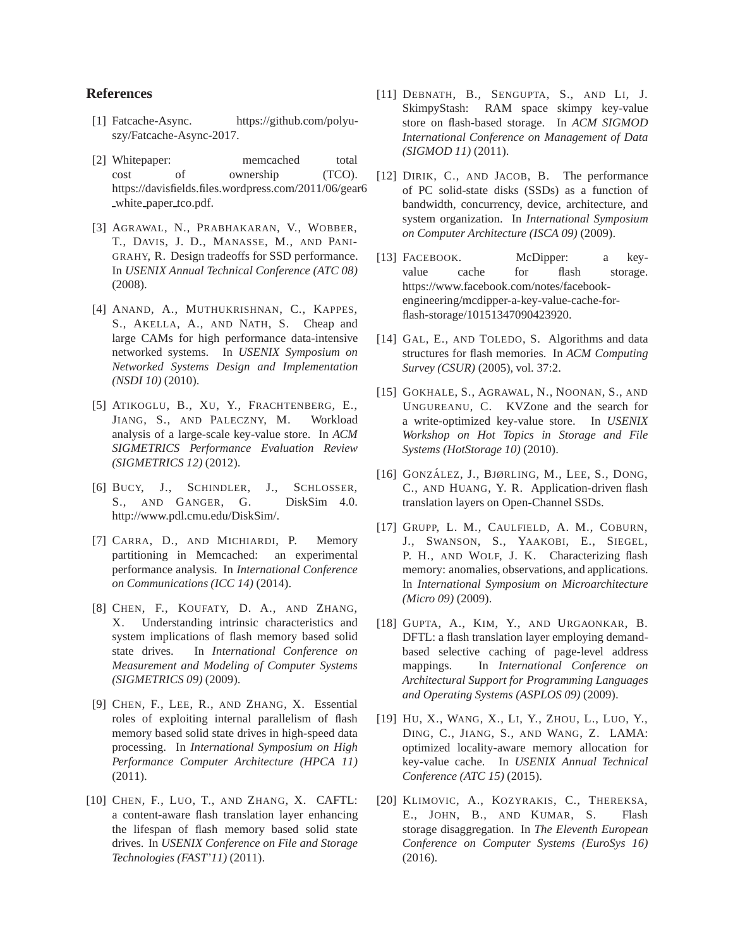# **References**

- [1] Fatcache-Async. https://github.com/polyuszy/Fatcache-Async-2017.
- [2] Whitepaper: memcached total cost of ownership (TCO). https://davisfields.files.wordpress.com/2011/06/gear6 white paper tco.pdf.
- [3] AGRAWAL, N., PRABHAKARAN, V., WOBBER, T., DAVIS, J. D., MANASSE, M., AND PANI-GRAHY, R. Design tradeoffs for SSD performance. In *USENIX Annual Technical Conference (ATC 08)* (2008).
- [4] ANAND, A., MUTHUKRISHNAN, C., KAPPES, S., AKELLA, A., AND NATH, S. Cheap and large CAMs for high performance data-intensive networked systems. In *USENIX Symposium on Networked Systems Design and Implementation (NSDI 10)* (2010).
- [5] ATIKOGLU, B., XU, Y., FRACHTENBERG, E., JIANG, S., AND PALECZNY, M. Workload analysis of a large-scale key-value store. In *ACM SIGMETRICS Performance Evaluation Review (SIGMETRICS 12)* (2012).
- [6] BUCY, J., SCHINDLER, J., SCHLOSSER, S., AND GANGER, G. DiskSim 4.0. http://www.pdl.cmu.edu/DiskSim/.
- [7] CARRA, D., AND MICHIARDI, P. Memory partitioning in Memcached: an experimental performance analysis. In *International Conference on Communications (ICC 14)* (2014).
- [8] CHEN, F., KOUFATY, D. A., AND ZHANG, X. Understanding intrinsic characteristics and system implications of flash memory based solid state drives. In *International Conference on Measurement and Modeling of Computer Systems (SIGMETRICS 09)* (2009).
- [9] CHEN, F., LEE, R., AND ZHANG, X. Essential roles of exploiting internal parallelism of flash memory based solid state drives in high-speed data processing. In *International Symposium on High Performance Computer Architecture (HPCA 11)* (2011).
- [10] CHEN, F., LUO, T., AND ZHANG, X. CAFTL: a content-aware flash translation layer enhancing the lifespan of flash memory based solid state drives. In *USENIX Conference on File and Storage Technologies (FAST'11)* (2011).
- [11] DEBNATH, B., SENGUPTA, S., AND LI, J. SkimpyStash: RAM space skimpy key-value store on flash-based storage. In *ACM SIGMOD International Conference on Management of Data (SIGMOD 11)* (2011).
- [12] DIRIK, C., AND JACOB, B. The performance of PC solid-state disks (SSDs) as a function of bandwidth, concurrency, device, architecture, and system organization. In *International Symposium on Computer Architecture (ISCA 09)* (2009).
- [13] FACEBOOK. McDipper: a keyvalue cache for flash storage. https://www.facebook.com/notes/facebookengineering/mcdipper-a-key-value-cache-forflash-storage/10151347090423920.
- [14] GAL, E., AND TOLEDO, S. Algorithms and data structures for flash memories. In *ACM Computing Survey (CSUR)* (2005), vol. 37:2.
- [15] GOKHALE, S., AGRAWAL, N., NOONAN, S., AND UNGUREANU, C. KVZone and the search for a write-optimized key-value store. In *USENIX Workshop on Hot Topics in Storage and File Systems (HotStorage 10)* (2010).
- [16] GONZÁLEZ, J., BJØRLING, M., LEE, S., DONG, C., AND HUANG, Y. R. Application-driven flash translation layers on Open-Channel SSDs.
- [17] GRUPP, L. M., CAULFIELD, A. M., COBURN, J., SWANSON, S., YAAKOBI, E., SIEGEL, P. H., AND WOLF, J. K. Characterizing flash memory: anomalies, observations, and applications. In *International Symposium on Microarchitecture (Micro 09)* (2009).
- [18] GUPTA, A., KIM, Y., AND URGAONKAR, B. DFTL: a flash translation layer employing demandbased selective caching of page-level address mappings. In *International Conference on Architectural Support for Programming Languages and Operating Systems (ASPLOS 09)* (2009).
- [19] HU, X., WANG, X., LI, Y., ZHOU, L., LUO, Y., DING, C., JIANG, S., AND WANG, Z. LAMA: optimized locality-aware memory allocation for key-value cache. In *USENIX Annual Technical Conference (ATC 15)* (2015).
- [20] KLIMOVIC, A., KOZYRAKIS, C., THEREKSA, E., JOHN, B., AND KUMAR, S. Flash storage disaggregation. In *The Eleventh European Conference on Computer Systems (EuroSys 16)* (2016).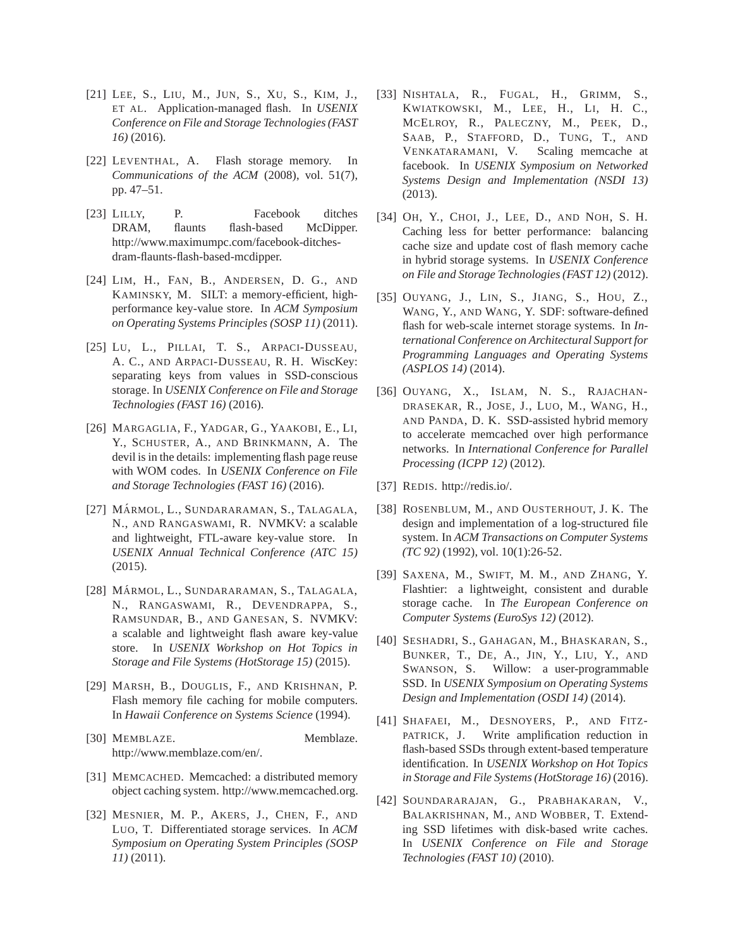- [21] LEE, S., LIU, M., JUN, S., XU, S., KIM, J., ET AL. Application-managed flash. In *USENIX Conference on File and Storage Technologies (FAST 16)* (2016).
- [22] LEVENTHAL, A. Flash storage memory. In *Communications of the ACM* (2008), vol. 51(7), pp. 47–51.
- [23] LILLY, P. Facebook ditches DRAM, flaunts flash-based McDipper. http://www.maximumpc.com/facebook-ditchesdram-flaunts-flash-based-mcdipper.
- [24] LIM, H., FAN, B., ANDERSEN, D. G., AND KAMINSKY, M. SILT: a memory-efficient, highperformance key-value store. In *ACM Symposium on Operating Systems Principles (SOSP 11)* (2011).
- [25] LU, L., PILLAI, T. S., ARPACI-DUSSEAU, A. C., AND ARPACI-DUSSEAU, R. H. WiscKey: separating keys from values in SSD-conscious storage. In *USENIX Conference on File and Storage Technologies (FAST 16)* (2016).
- [26] MARGAGLIA, F., YADGAR, G., YAAKOBI, E., LI, Y., SCHUSTER, A., AND BRINKMANN, A. The devil is in the details: implementing flash page reuse with WOM codes. In *USENIX Conference on File and Storage Technologies (FAST 16)* (2016).
- [27] MÁRMOL, L., SUNDARARAMAN, S., TALAGALA, N., AND RANGASWAMI, R. NVMKV: a scalable and lightweight, FTL-aware key-value store. In *USENIX Annual Technical Conference (ATC 15)* (2015).
- [28] MÁRMOL, L., SUNDARARAMAN, S., TALAGALA, N., RANGASWAMI, R., DEVENDRAPPA, S., RAMSUNDAR, B., AND GANESAN, S. NVMKV: a scalable and lightweight flash aware key-value store. In *USENIX Workshop on Hot Topics in Storage and File Systems (HotStorage 15)* (2015).
- [29] MARSH, B., DOUGLIS, F., AND KRISHNAN, P. Flash memory file caching for mobile computers. In *Hawaii Conference on Systems Science* (1994).
- [30] MEMBLAZE. Memblaze. http://www.memblaze.com/en/.
- [31] MEMCACHED. Memcached: a distributed memory object caching system. http://www.memcached.org.
- [32] MESNIER, M. P., AKERS, J., CHEN, F., AND LUO, T. Differentiated storage services. In *ACM Symposium on Operating System Principles (SOSP 11)* (2011).
- [33] NISHTALA, R., FUGAL, H., GRIMM, S., KWIATKOWSKI, M., LEE, H., LI, H. C., MCELROY, R., PALECZNY, M., PEEK, D., SAAB, P., STAFFORD, D., TUNG, T., AND VENKATARAMANI, V. Scaling memcache at facebook. In *USENIX Symposium on Networked Systems Design and Implementation (NSDI 13)* (2013).
- [34] OH, Y., CHOI, J., LEE, D., AND NOH, S. H. Caching less for better performance: balancing cache size and update cost of flash memory cache in hybrid storage systems. In *USENIX Conference on File and Storage Technologies (FAST 12)* (2012).
- [35] OUYANG, J., LIN, S., JIANG, S., HOU, Z., WANG, Y., AND WANG, Y. SDF: software-defined flash for web-scale internet storage systems. In *International Conference on Architectural Support for Programming Languages and Operating Systems (ASPLOS 14)* (2014).
- [36] OUYANG, X., ISLAM, N. S., RAJACHAN-DRASEKAR, R., JOSE, J., LUO, M., WANG, H., AND PANDA, D. K. SSD-assisted hybrid memory to accelerate memcached over high performance networks. In *International Conference for Parallel Processing (ICPP 12)* (2012).
- [37] REDIS. http://redis.io/.
- [38] ROSENBLUM, M., AND OUSTERHOUT, J. K. The design and implementation of a log-structured file system. In *ACM Transactions on Computer Systems (TC 92)* (1992), vol. 10(1):26-52.
- [39] SAXENA, M., SWIFT, M. M., AND ZHANG, Y. Flashtier: a lightweight, consistent and durable storage cache. In *The European Conference on Computer Systems (EuroSys 12)* (2012).
- [40] SESHADRI, S., GAHAGAN, M., BHASKARAN, S., BUNKER, T., DE, A., JIN, Y., LIU, Y., AND SWANSON, S. Willow: a user-programmable SSD. In *USENIX Symposium on Operating Systems Design and Implementation (OSDI 14)* (2014).
- [41] SHAFAEI, M., DESNOYERS, P., AND FITZ-PATRICK, J. Write amplification reduction in flash-based SSDs through extent-based temperature identification. In *USENIX Workshop on Hot Topics in Storage and File Systems (HotStorage 16)* (2016).
- [42] SOUNDARARAJAN, G., PRABHAKARAN, V., BALAKRISHNAN, M., AND WOBBER, T. Extending SSD lifetimes with disk-based write caches. In *USENIX Conference on File and Storage Technologies (FAST 10)* (2010).